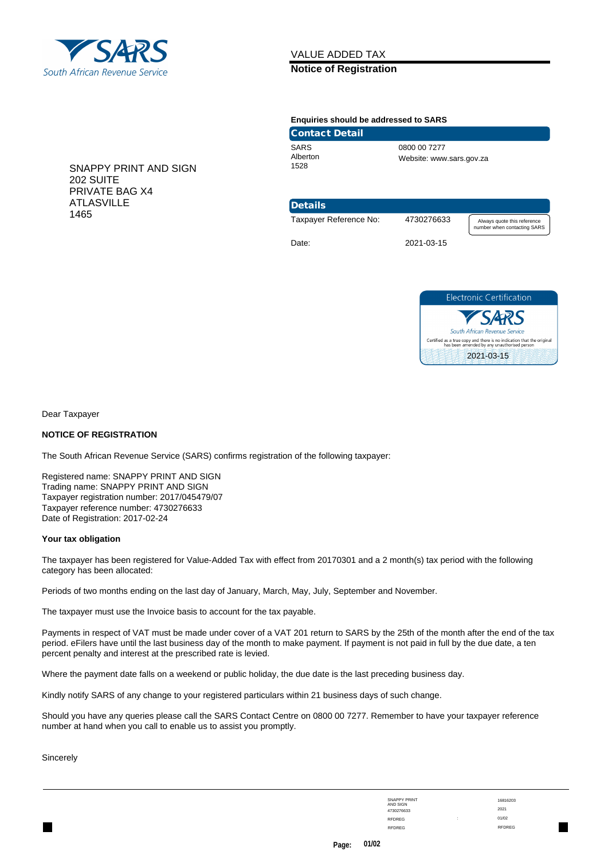

## VALUE ADDED TAX

### **Notice of Registration**

#### **Enquiries should be addressed to SARS**

| <b>Contact Detail</b>           |                                          |
|---------------------------------|------------------------------------------|
| <b>SARS</b><br>Alberton<br>1528 | 0800 00 7277<br>Website: www.sars.gov.za |

SNAPPY PRINT AND SIGN 202 SUITE PRIVATE BAG X4 ATLASVILLE 1465

# Details



Date: 2021-03-15



Dear Taxpayer

### **NOTICE OF REGISTRATION**

The South African Revenue Service (SARS) confirms registration of the following taxpayer:

Registered name: SNAPPY PRINT AND SIGN Trading name: SNAPPY PRINT AND SIGN Taxpayer registration number: 2017/045479/07 Taxpayer reference number: 4730276633 Date of Registration: 2017-02-24

### **Your tax obligation**

The taxpayer has been registered for Value-Added Tax with effect from 20170301 and a 2 month(s) tax period with the following category has been allocated:

Periods of two months ending on the last day of January, March, May, July, September and November.

The taxpayer must use the Invoice basis to account for the tax payable.

Payments in respect of VAT must be made under cover of a VAT 201 return to SARS by the 25th of the month after the end of the tax period. eFilers have until the last business day of the month to make payment. If payment is not paid in full by the due date, a ten percent penalty and interest at the prescribed rate is levied.

Where the payment date falls on a weekend or public holiday, the due date is the last preceding business day.

Kindly notify SARS of any change to your registered particulars within 21 business days of such change.

Should you have any queries please call the SARS Contact Centre on 0800 00 7277. Remember to have your taxpayer reference number at hand when you call to enable us to assist you promptly.

**Sincerely** 

| <b>SNAPPY PRINT</b> |        | 1681620       |
|---------------------|--------|---------------|
| AND SIGN            |        |               |
| 4730276633          |        | 2021          |
| <b>RFDREG</b>       | ٠<br>٠ | 01/02         |
| <b>RFDREG</b>       |        | <b>RFDREG</b> |

16816203 : 01/02